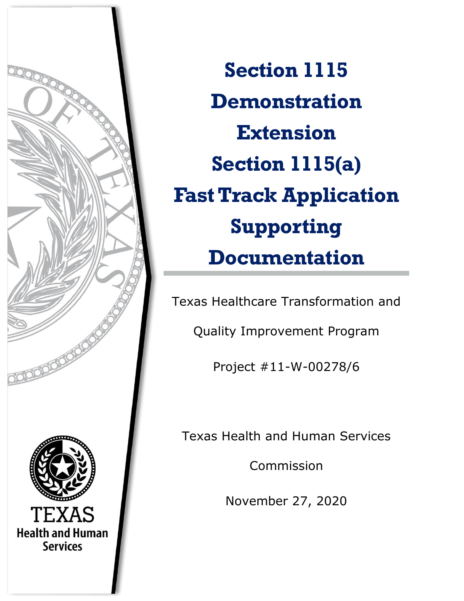

**Section 1115 Demonstration Extension Section 1115(a) Fast Track Application Supporting Documentation**

**Appendices A – E** Texas Healthcare Transformation and

Quality Improvement Program

Project #11-W-00278/6

Texas Health and Human Services

Commission

November 27, 2020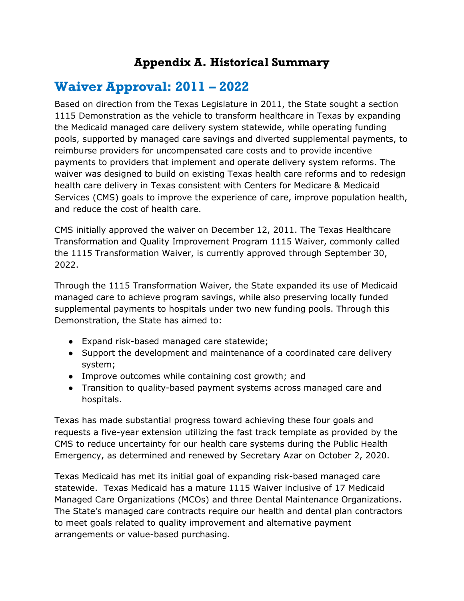## **Appendix A. Historical Summary**

# **Waiver Approval: 2011 – 2022**

Based on direction from the Texas Legislature in 2011, the State sought a section 1115 Demonstration as the vehicle to transform healthcare in Texas by expanding the Medicaid managed care delivery system statewide, while operating funding pools, supported by managed care savings and diverted supplemental payments, to reimburse providers for uncompensated care costs and to provide incentive payments to providers that implement and operate delivery system reforms. The waiver was designed to build on existing Texas health care reforms and to redesign health care delivery in Texas consistent with Centers for Medicare & Medicaid Services (CMS) goals to improve the experience of care, improve population health, and reduce the cost of health care.

CMS initially approved the waiver on December 12, 2011. The Texas Healthcare Transformation and Quality Improvement Program 1115 Waiver, commonly called the 1115 Transformation Waiver, is currently approved through September 30, 2022.

Through the 1115 Transformation Waiver, the State expanded its use of Medicaid managed care to achieve program savings, while also preserving locally funded supplemental payments to hospitals under two new funding pools. Through this Demonstration, the State has aimed to:

- Expand risk-based managed care statewide;
- Support the development and maintenance of a coordinated care delivery system;
- Improve outcomes while containing cost growth; and
- Transition to quality-based payment systems across managed care and hospitals.

Texas has made substantial progress toward achieving these four goals and requests a five-year extension utilizing the fast track template as provided by the CMS to reduce uncertainty for our health care systems during the Public Health Emergency, as determined and renewed by Secretary Azar on October 2, 2020.

Texas Medicaid has met its initial goal of expanding risk-based managed care statewide. Texas Medicaid has a mature 1115 Waiver inclusive of 17 Medicaid Managed Care Organizations (MCOs) and three Dental Maintenance Organizations. The State's managed care contracts require our health and dental plan contractors to meet goals related to quality improvement and alternative payment arrangements or value-based purchasing.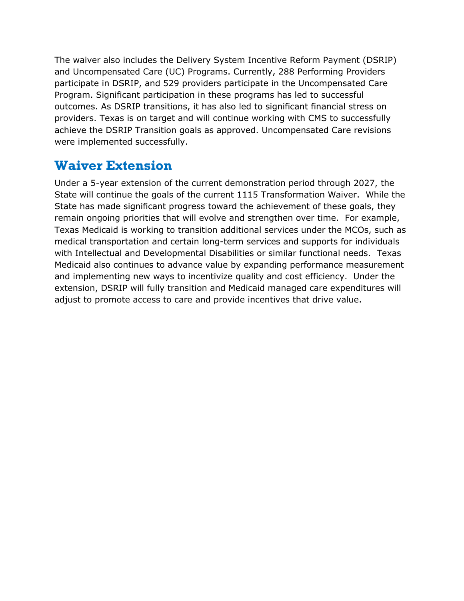The waiver also includes the Delivery System Incentive Reform Payment (DSRIP) and Uncompensated Care (UC) Programs. Currently, 288 Performing Providers participate in DSRIP, and 529 providers participate in the Uncompensated Care Program. Significant participation in these programs has led to successful outcomes. As DSRIP transitions, it has also led to significant financial stress on providers. Texas is on target and will continue working with CMS to successfully achieve the DSRIP Transition goals as approved. Uncompensated Care revisions were implemented successfully.

## **Waiver Extension**

Under a 5-year extension of the current demonstration period through 2027, the State will continue the goals of the current 1115 Transformation Waiver. While the State has made significant progress toward the achievement of these goals, they remain ongoing priorities that will evolve and strengthen over time. For example, Texas Medicaid is working to transition additional services under the MCOs, such as medical transportation and certain long-term services and supports for individuals with Intellectual and Developmental Disabilities or similar functional needs. Texas Medicaid also continues to advance value by expanding performance measurement and implementing new ways to incentivize quality and cost efficiency. Under the extension, DSRIP will fully transition and Medicaid managed care expenditures will adjust to promote access to care and provide incentives that drive value.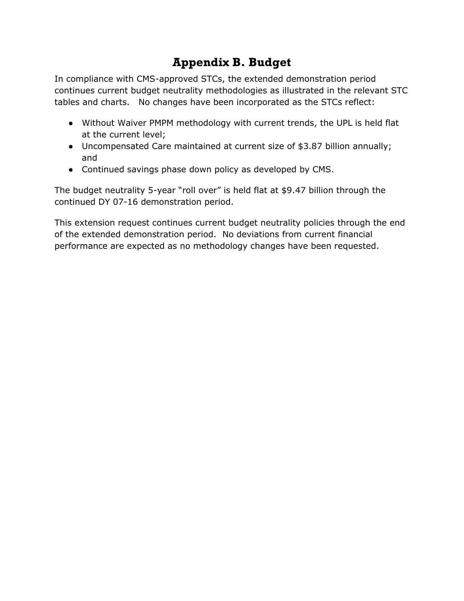# **Appendix B. Budget**

In compliance with CMS-approved STCs, the extended demonstration period continues current budget neutrality methodologies as illustrated in the relevant STC tables and charts. No changes have been incorporated as the STCs reflect:

- Without Waiver PMPM methodology with current trends, the UPL is held flat at the current level;
- Uncompensated Care maintained at current size of \$3.87 billion annually; and
- Continued savings phase down policy as developed by CMS.

The budget neutrality 5-year "roll over" is held flat at \$9.47 billion through the continued DY 07-16 demonstration period.

This extension request continues current budget neutrality policies through the end of the extended demonstration period. No deviations from current financial performance are expected as no methodology changes have been requested.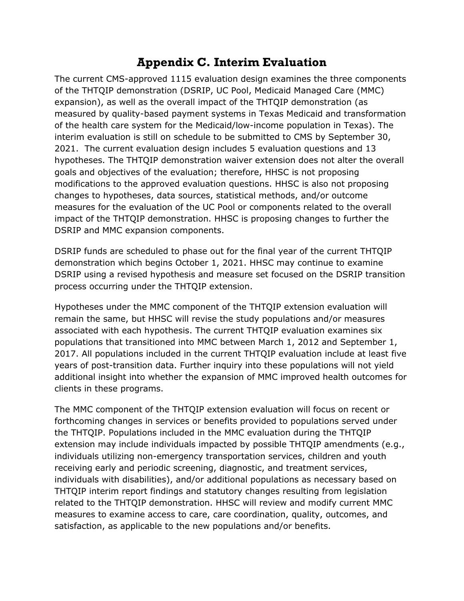### **Appendix C. Interim Evaluation**

The current CMS-approved 1115 evaluation design examines the three components of the THTQIP demonstration (DSRIP, UC Pool, Medicaid Managed Care (MMC) expansion), as well as the overall impact of the THTQIP demonstration (as measured by quality-based payment systems in Texas Medicaid and transformation of the health care system for the Medicaid/low-income population in Texas). The interim evaluation is still on schedule to be submitted to CMS by September 30, 2021. The current evaluation design includes 5 evaluation questions and 13 hypotheses. The THTQIP demonstration waiver extension does not alter the overall goals and objectives of the evaluation; therefore, HHSC is not proposing modifications to the approved evaluation questions. HHSC is also not proposing changes to hypotheses, data sources, statistical methods, and/or outcome measures for the evaluation of the UC Pool or components related to the overall impact of the THTQIP demonstration. HHSC is proposing changes to further the DSRIP and MMC expansion components.

DSRIP funds are scheduled to phase out for the final year of the current THTQIP demonstration which begins October 1, 2021. HHSC may continue to examine DSRIP using a revised hypothesis and measure set focused on the DSRIP transition process occurring under the THTQIP extension.

Hypotheses under the MMC component of the THTQIP extension evaluation will remain the same, but HHSC will revise the study populations and/or measures associated with each hypothesis. The current THTQIP evaluation examines six populations that transitioned into MMC between March 1, 2012 and September 1, 2017. All populations included in the current THTQIP evaluation include at least five years of post-transition data. Further inquiry into these populations will not yield additional insight into whether the expansion of MMC improved health outcomes for clients in these programs.

The MMC component of the THTQIP extension evaluation will focus on recent or forthcoming changes in services or benefits provided to populations served under the THTQIP. Populations included in the MMC evaluation during the THTQIP extension may include individuals impacted by possible THTQIP amendments (e.g., individuals utilizing non-emergency transportation services, children and youth receiving early and periodic screening, diagnostic, and treatment services, individuals with disabilities), and/or additional populations as necessary based on THTQIP interim report findings and statutory changes resulting from legislation related to the THTQIP demonstration. HHSC will review and modify current MMC measures to examine access to care, care coordination, quality, outcomes, and satisfaction, as applicable to the new populations and/or benefits.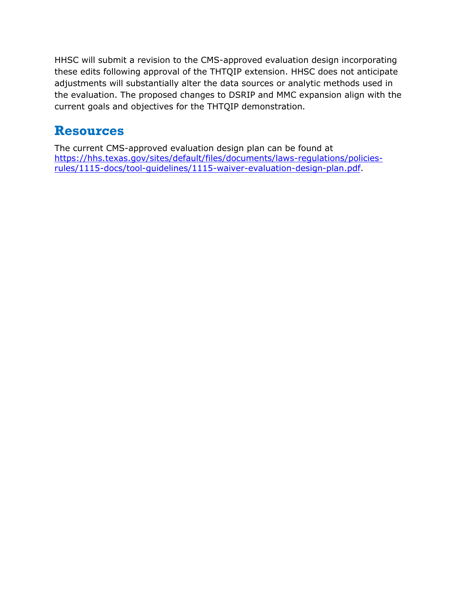HHSC will submit a revision to the CMS-approved evaluation design incorporating these edits following approval of the THTQIP extension. HHSC does not anticipate adjustments will substantially alter the data sources or analytic methods used in the evaluation. The proposed changes to DSRIP and MMC expansion align with the current goals and objectives for the THTQIP demonstration.

# **Resources**

The current CMS-approved evaluation design plan can be found at [https://hhs.texas.gov/sites/default/files/documents/laws-regulations/policies](https://hhs.texas.gov/sites/default/files/documents/laws-regulations/policies-rules/1115-docs/tool-guidelines/1115-waiver-evaluation-design-plan.pdf)[rules/1115-docs/tool-guidelines/1115-waiver-evaluation-design-plan.pdf.](https://hhs.texas.gov/sites/default/files/documents/laws-regulations/policies-rules/1115-docs/tool-guidelines/1115-waiver-evaluation-design-plan.pdf)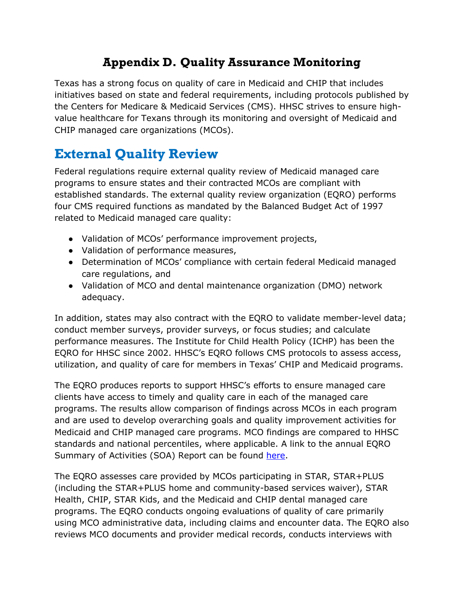# **Appendix D. Quality Assurance Monitoring**

Texas has a strong focus on quality of care in Medicaid and CHIP that includes initiatives based on state and federal requirements, including protocols published by the Centers for Medicare & Medicaid Services (CMS). HHSC strives to ensure highvalue healthcare for Texans through its monitoring and oversight of Medicaid and CHIP managed care organizations (MCOs).

# **External Quality Review**

Federal regulations require external quality review of Medicaid managed care programs to ensure states and their contracted MCOs are compliant with established standards. The external quality review organization (EQRO) performs four CMS required functions as mandated by the Balanced Budget Act of 1997 related to Medicaid managed care quality:

- Validation of MCOs' performance improvement projects,
- Validation of performance measures,
- Determination of MCOs' compliance with certain federal Medicaid managed care regulations, and
- Validation of MCO and dental maintenance organization (DMO) network adequacy.

In addition, states may also contract with the EQRO to validate member-level data; conduct member surveys, provider surveys, or focus studies; and calculate performance measures. The Institute for Child Health Policy (ICHP) has been the EQRO for HHSC since 2002. HHSC's EQRO follows CMS protocols to assess access, utilization, and quality of care for members in Texas' CHIP and Medicaid programs.

The EQRO produces reports to support HHSC's efforts to ensure managed care clients have access to timely and quality care in each of the managed care programs. The results allow comparison of findings across MCOs in each program and are used to develop overarching goals and quality improvement activities for Medicaid and CHIP managed care programs. MCO findings are compared to HHSC standards and national percentiles, where applicable. A link to the annual EQRO Summary of Activities (SOA) Report can be found [here.](https://hhs.texas.gov/sites/default/files/documents/laws-regulations/reports-presentations/2019/eqro-summary-of-activites-report-contract-yr-2018.pdf)

The EQRO assesses care provided by MCOs participating in STAR, STAR+PLUS (including the STAR+PLUS home and community-based services waiver), STAR Health, CHIP, STAR Kids, and the Medicaid and CHIP dental managed care programs. The EQRO conducts ongoing evaluations of quality of care primarily using MCO administrative data, including claims and encounter data. The EQRO also reviews MCO documents and provider medical records, conducts interviews with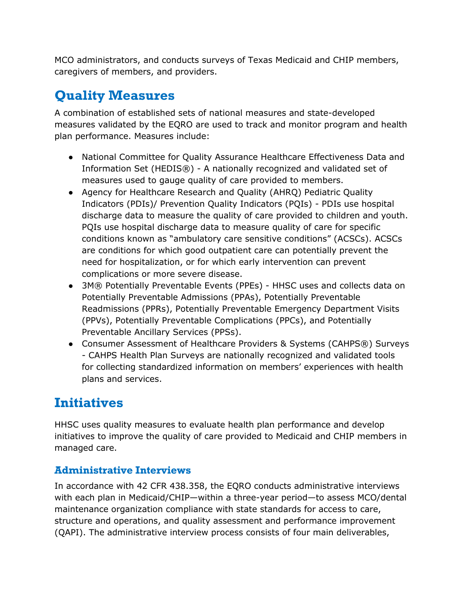MCO administrators, and conducts surveys of Texas Medicaid and CHIP members, caregivers of members, and providers.

# **Quality Measures**

A combination of established sets of national measures and state-developed measures validated by the EQRO are used to track and monitor program and health plan performance. Measures include:

- National Committee for Quality Assurance Healthcare Effectiveness Data and Information Set (HEDIS®) - A nationally recognized and validated set of measures used to gauge quality of care provided to members.
- Agency for Healthcare Research and Quality (AHRQ) Pediatric Quality Indicators (PDIs)/ Prevention Quality Indicators (PQIs) - PDIs use hospital discharge data to measure the quality of care provided to children and youth. PQIs use hospital discharge data to measure quality of care for specific conditions known as "ambulatory care sensitive conditions" (ACSCs). ACSCs are conditions for which good outpatient care can potentially prevent the need for hospitalization, or for which early intervention can prevent complications or more severe disease.
- 3M® Potentially Preventable Events (PPEs) HHSC uses and collects data on Potentially Preventable Admissions (PPAs), Potentially Preventable Readmissions (PPRs), Potentially Preventable Emergency Department Visits (PPVs), Potentially Preventable Complications (PPCs), and Potentially Preventable Ancillary Services (PPSs).
- Consumer Assessment of Healthcare Providers & Systems (CAHPS<sup>®</sup>) Surveys - CAHPS Health Plan Surveys are nationally recognized and validated tools for collecting standardized information on members' experiences with health plans and services.

# **Initiatives**

HHSC uses quality measures to evaluate health plan performance and develop initiatives to improve the quality of care provided to Medicaid and CHIP members in managed care.

#### **Administrative Interviews**

In accordance with 42 CFR 438.358, the EQRO conducts administrative interviews with each plan in Medicaid/CHIP—within a three-year period—to assess MCO/dental maintenance organization compliance with state standards for access to care, structure and operations, and quality assessment and performance improvement (QAPI). The administrative interview process consists of four main deliverables,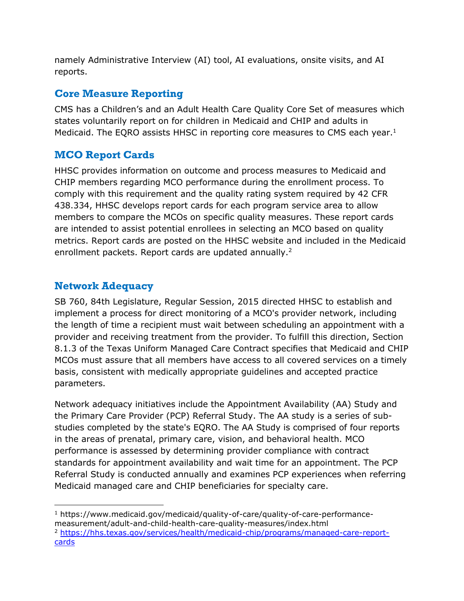namely Administrative Interview (AI) tool, AI evaluations, onsite visits, and AI reports.

#### **Core Measure Reporting**

CMS has a Children's and an Adult Health Care Quality Core Set of measures which states voluntarily report on for children in Medicaid and CHIP and adults in Medicaid. The EQRO assists HHSC in reporting core measures to CMS each year.<sup>1</sup>

#### **MCO Report Cards**

HHSC provides information on outcome and process measures to Medicaid and CHIP members regarding MCO performance during the enrollment process. To comply with this requirement and the quality rating system required by 42 CFR 438.334, HHSC develops report cards for each program service area to allow members to compare the MCOs on specific quality measures. These report cards are intended to assist potential enrollees in selecting an MCO based on quality metrics. Report cards are posted on the HHSC website and included in the Medicaid enrollment packets. Report cards are updated annually.<sup>2</sup>

#### **Network Adequacy**

SB 760, 84th Legislature, Regular Session, 2015 directed HHSC to establish and implement a process for direct monitoring of a MCO's provider network, including the length of time a recipient must wait between scheduling an appointment with a provider and receiving treatment from the provider. To fulfill this direction, Section 8.1.3 of the Texas Uniform Managed Care Contract specifies that Medicaid and CHIP MCOs must assure that all members have access to all covered services on a timely basis, consistent with medically appropriate guidelines and accepted practice parameters.

Network adequacy initiatives include the Appointment Availability (AA) Study and the Primary Care Provider (PCP) Referral Study. The AA study is a series of substudies completed by the state's EQRO. The AA Study is comprised of four reports in the areas of prenatal, primary care, vision, and behavioral health. MCO performance is assessed by determining provider compliance with contract standards for appointment availability and wait time for an appointment. The PCP Referral Study is conducted annually and examines PCP experiences when referring Medicaid managed care and CHIP beneficiaries for specialty care.

<sup>1</sup> https://www.medicaid.gov/medicaid/quality-of-care/quality-of-care-performancemeasurement/adult-and-child-health-care-quality-measures/index.html

<sup>2</sup> [https://hhs.texas.gov/services/health/medicaid-chip/programs/managed-care-report](https://hhs.texas.gov/services/health/medicaid-chip/programs/managed-care-report-cards)[cards](https://hhs.texas.gov/services/health/medicaid-chip/programs/managed-care-report-cards)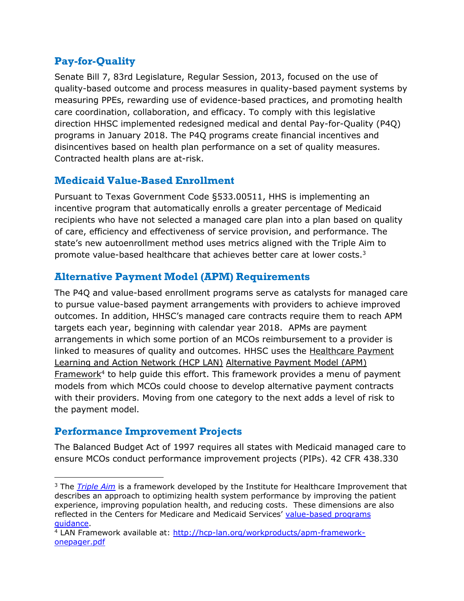#### **Pay-for-Quality**

Senate Bill 7, 83rd Legislature, Regular Session, 2013, focused on the use of quality-based outcome and process measures in quality-based payment systems by measuring PPEs, rewarding use of evidence-based practices, and promoting health care coordination, collaboration, and efficacy. To comply with this legislative direction HHSC implemented redesigned medical and dental Pay-for-Quality (P4Q) programs in January 2018. The P4Q programs create financial incentives and disincentives based on health plan performance on a set of quality measures. Contracted health plans are at-risk.

#### **Medicaid Value-Based Enrollment**

Pursuant to Texas Government Code §533.00511, HHS is implementing an incentive program that automatically enrolls a greater percentage of Medicaid recipients who have not selected a managed care plan into a plan based on quality of care, efficiency and effectiveness of service provision, and performance. The state's new autoenrollment method uses metrics aligned with the Triple Aim to promote value-based healthcare that achieves better care at lower costs.<sup>3</sup>

#### **Alternative Payment Model (APM) Requirements**

The P4Q and value-based enrollment programs serve as catalysts for managed care to pursue value-based payment arrangements with providers to achieve improved outcomes. In addition, HHSC's managed care contracts require them to reach APM targets each year, beginning with calendar year 2018. APMs are payment arrangements in which some portion of an MCOs reimbursement to a provider is linked to measures of quality and outcomes. HHSC uses the [Healthcare Payment](https://hcp-lan.org/groups/apm-fpt-work-products/apm-framework/)  [Learning and Action Network \(HCP LAN\)](https://hcp-lan.org/groups/apm-fpt-work-products/apm-framework/) [Alternative Payment Model \(APM\)](https://hcp-lan.org/groups/apm-fpt-work-products/apm-framework/)  [Framework](https://hcp-lan.org/groups/apm-fpt-work-products/apm-framework/)<sup>4</sup> to help guide this effort. This framework provides a menu of payment models from which MCOs could choose to develop alternative payment contracts with their providers. Moving from one category to the next adds a level of risk to the payment model.

#### **Performance Improvement Projects**

The Balanced Budget Act of 1997 requires all states with Medicaid managed care to ensure MCOs conduct performance improvement projects (PIPs). 42 CFR 438.330

<sup>3</sup> The *[Triple Aim](http://www.ihi.org/Engage/Initiatives/TripleAim/Pages/default.aspx)* is a framework developed by the Institute for Healthcare Improvement that describes an approach to optimizing health system performance by improving the patient experience, improving population health, and reducing costs. These dimensions are also reflected in the Centers for Medicare and Medicaid Services' [value-based programs](https://www.cms.gov/Medicare/Quality-Initiatives-Patient-Assessment-Instruments/Value-Based-Programs/Value-Based-Programs)  [guidance.](https://www.cms.gov/Medicare/Quality-Initiatives-Patient-Assessment-Instruments/Value-Based-Programs/Value-Based-Programs)

<sup>&</sup>lt;sup>4</sup> LAN Framework available at: [http://hcp-lan.org/workproducts/apm-framework](http://hcp-lan.org/workproducts/apm-framework-onepager.pdf)[onepager.pdf](http://hcp-lan.org/workproducts/apm-framework-onepager.pdf)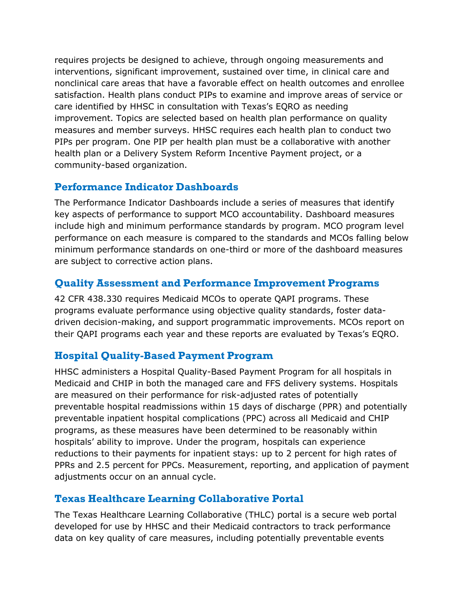requires projects be designed to achieve, through ongoing measurements and interventions, significant improvement, sustained over time, in clinical care and nonclinical care areas that have a favorable effect on health outcomes and enrollee satisfaction. Health plans conduct PIPs to examine and improve areas of service or care identified by HHSC in consultation with Texas's EQRO as needing improvement. Topics are selected based on health plan performance on quality measures and member surveys. HHSC requires each health plan to conduct two PIPs per program. One PIP per health plan must be a collaborative with another health plan or a Delivery System Reform Incentive Payment project, or a community-based organization.

#### **Performance Indicator Dashboards**

The Performance Indicator Dashboards include a series of measures that identify key aspects of performance to support MCO accountability. Dashboard measures include high and minimum performance standards by program. MCO program level performance on each measure is compared to the standards and MCOs falling below minimum performance standards on one-third or more of the dashboard measures are subject to corrective action plans.

#### **Quality Assessment and Performance Improvement Programs**

42 CFR 438.330 requires Medicaid MCOs to operate QAPI programs. These programs evaluate performance using objective quality standards, foster datadriven decision-making, and support programmatic improvements. MCOs report on their QAPI programs each year and these reports are evaluated by Texas's EQRO.

#### **Hospital Quality-Based Payment Program**

HHSC administers a Hospital Quality-Based Payment Program for all hospitals in Medicaid and CHIP in both the managed care and FFS delivery systems. Hospitals are measured on their performance for risk-adjusted rates of potentially preventable hospital readmissions within 15 days of discharge (PPR) and potentially preventable inpatient hospital complications (PPC) across all Medicaid and CHIP programs, as these measures have been determined to be reasonably within hospitals' ability to improve. Under the program, hospitals can experience reductions to their payments for inpatient stays: up to 2 percent for high rates of PPRs and 2.5 percent for PPCs. Measurement, reporting, and application of payment adjustments occur on an annual cycle.

#### **Texas Healthcare Learning Collaborative Portal**

The Texas Healthcare Learning Collaborative (THLC) portal is a secure web portal developed for use by HHSC and their Medicaid contractors to track performance data on key quality of care measures, including potentially preventable events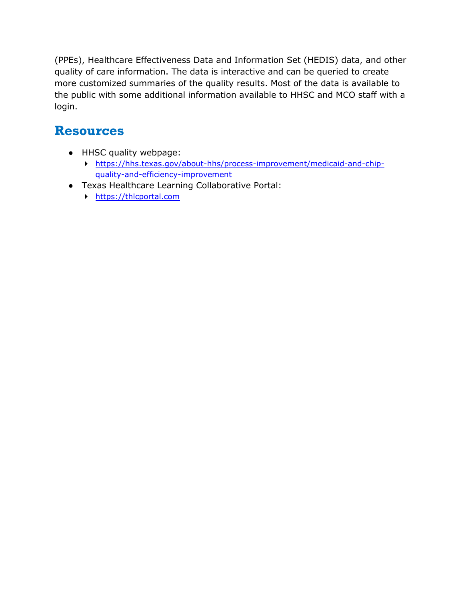(PPEs), Healthcare Effectiveness Data and Information Set (HEDIS) data, and other quality of care information. The data is interactive and can be queried to create more customized summaries of the quality results. Most of the data is available to the public with some additional information available to HHSC and MCO staff with a login.

# **Resources**

- HHSC quality webpage:
	- [https://hhs.texas.gov/about-hhs/process-improvement/medicaid-and-chip](https://hhs.texas.gov/about-hhs/process-improvement/medicaid-and-chip-quality-and-efficiency-improvement)[quality-and-efficiency-improvement](https://hhs.texas.gov/about-hhs/process-improvement/medicaid-and-chip-quality-and-efficiency-improvement)
- Texas Healthcare Learning Collaborative Portal:
	- [https://thlcportal.com](https://thlcportal.com/)